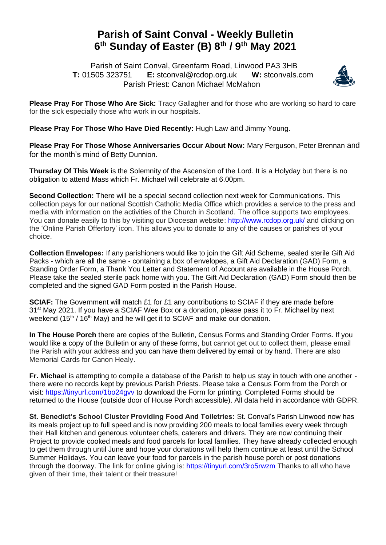## **Parish of Saint Conval - Weekly Bulletin 6 th Sunday of Easter (B) 8 th / 9 th May 2021**

 Parish of Saint Conval, Greenfarm Road, Linwood PA3 3HB **T:** 01505 323751 **E:** [stconval@rcdop.org.uk](mailto:stconval@rcdop.org.uk) **W:** stconvals.com Parish Priest: Canon Michael McMahon



**Please Pray For Those Who Are Sick:** Tracy Gallagher and for those who are working so hard to care for the sick especially those who work in our hospitals.

**Please Pray For Those Who Have Died Recently:** Hugh Law and Jimmy Young.

**Please Pray For Those Whose Anniversaries Occur About Now:** Mary Ferguson, Peter Brennan and for the month's mind of Betty Dunnion.

**Thursday Of This Week** is the Solemnity of the Ascension of the Lord. It is a Holyday but there is no obligation to attend Mass which Fr. Michael will celebrate at 6.00pm.

**Second Collection:** There will be a special second collection next week for Communications. This collection pays for our national Scottish Catholic Media Office which provides a service to the press and media with information on the activities of the Church in Scotland. The office supports two employees. You can donate easily to this by visiting our Diocesan website: <http://www.rcdop.org.uk/> and clicking on the 'Online Parish Offertory' icon. This allows you to donate to any of the causes or parishes of your choice.

**Collection Envelopes:** If any parishioners would like to join the Gift Aid Scheme, sealed sterile Gift Aid Packs - which are all the same - containing a box of envelopes, a Gift Aid Declaration (GAD) Form, a Standing Order Form, a Thank You Letter and Statement of Account are available in the House Porch. Please take the sealed sterile pack home with you. The Gift Aid Declaration (GAD) Form should then be completed and the signed GAD Form posted in the Parish House.

**SCIAF:** The Government will match £1 for £1 any contributions to SCIAF if they are made before 31<sup>st</sup> May 2021. If you have a SCIAF Wee Box or a donation, please pass it to Fr. Michael by next weekend (15<sup>th</sup> / 16<sup>th</sup> May) and he will get it to SCIAF and make our donation.

**In The House Porch** there are copies of the Bulletin, Census Forms and Standing Order Forms. If you would like a copy of the Bulletin or any of these forms, but cannot get out to collect them, please email the Parish with your address and you can have them delivered by email or by hand. There are also Memorial Cards for Canon Healy.

**Fr. Michael** is attempting to compile a database of the Parish to help us stay in touch with one another there were no records kept by previous Parish Priests. Please take a Census Form from the Porch or visit:<https://tinyurl.com/1bo24gvv> to download the Form for printing. Completed Forms should be returned to the House (outside door of House Porch accessible). All data held in accordance with GDPR.

**St. Benedict's School Cluster Providing Food And Toiletries:** St. Conval's Parish Linwood now has its meals project up to full speed and is now providing 200 meals to local families every week through their Hall kitchen and generous volunteer chefs, caterers and drivers. They are now continuing their Project to provide cooked meals and food parcels for local families. They have already collected enough to get them through until June and hope your donations will help them continue at least until the School Summer Holidays. You can leave your food for parcels in the parish house porch or post donations through the doorway. The link for online giving is:<https://tinyurl.com/3ro5rwzm> Thanks to all who have given of their time, their talent or their treasure!